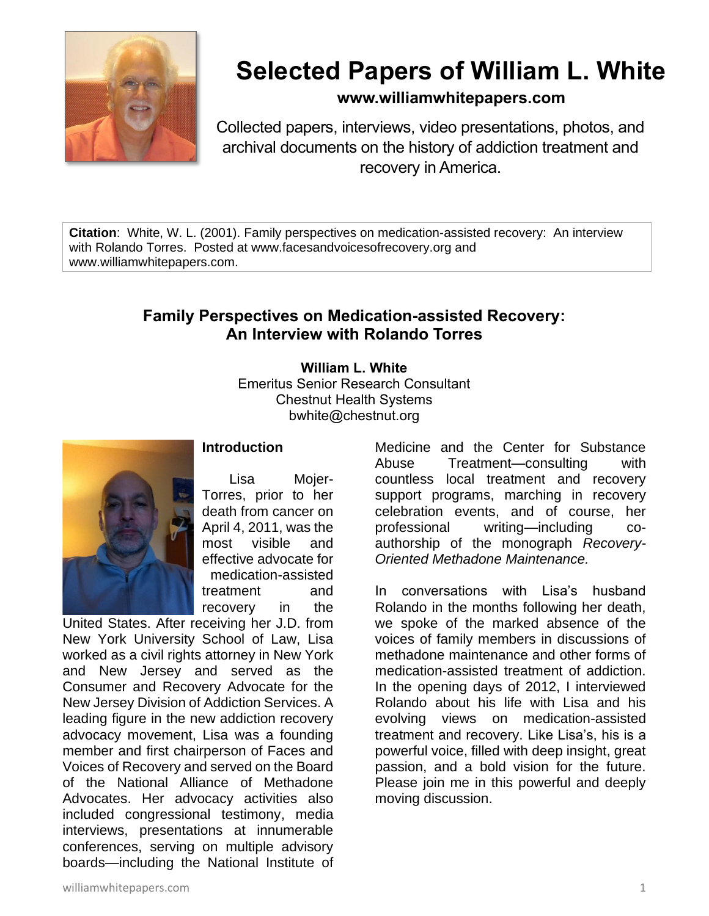

# **Selected Papers of William L. White**

**www.williamwhitepapers.com**

Collected papers, interviews, video presentations, photos, and archival documents on the history of addiction treatment and recovery in America.

**Citation**: White, W. L. (2001). Family perspectives on medication-assisted recovery: An interview with Rolando Torres. Posted at www.facesandvoicesofrecovery.org and www.williamwhitepapers.com.

## **Family Perspectives on Medication-assisted Recovery: An Interview with Rolando Torres**

**William L. White** Emeritus Senior Research Consultant Chestnut Health Systems bwhite@chestnut.org



## **Introduction**

Lisa Mojer-Torres, prior to her death from cancer on April 4, 2011, was the most visible and effective advocate for medication-assisted treatment and recovery in the

United States. After receiving her J.D. from New York University School of Law, Lisa worked as a civil rights attorney in New York and New Jersey and served as the Consumer and Recovery Advocate for the New Jersey Division of Addiction Services. A leading figure in the new addiction recovery advocacy movement, Lisa was a founding member and first chairperson of Faces and Voices of Recovery and served on the Board of the National Alliance of Methadone Advocates. Her advocacy activities also included congressional testimony, media interviews, presentations at innumerable conferences, serving on multiple advisory boards—including the National Institute of

Medicine and the Center for Substance Abuse Treatment—consulting with countless local treatment and recovery support programs, marching in recovery celebration events, and of course, her professional writing—including coauthorship of the monograph *Recovery-Oriented Methadone Maintenance.*

In conversations with Lisa's husband Rolando in the months following her death, we spoke of the marked absence of the voices of family members in discussions of methadone maintenance and other forms of medication-assisted treatment of addiction. In the opening days of 2012, I interviewed Rolando about his life with Lisa and his evolving views on medication-assisted treatment and recovery. Like Lisa's, his is a powerful voice, filled with deep insight, great passion, and a bold vision for the future. Please join me in this powerful and deeply moving discussion.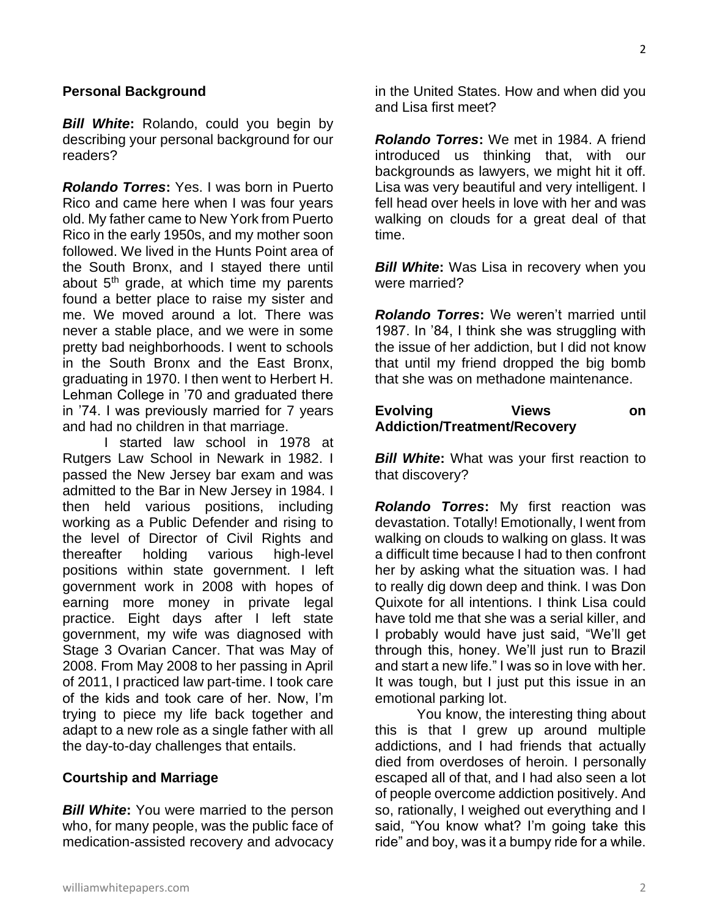#### **Personal Background**

*Bill White***:** Rolando, could you begin by describing your personal background for our readers?

*Rolando Torres***:** Yes. I was born in Puerto Rico and came here when I was four years old. My father came to New York from Puerto Rico in the early 1950s, and my mother soon followed. We lived in the Hunts Point area of the South Bronx, and I stayed there until about  $5<sup>th</sup>$  grade, at which time my parents found a better place to raise my sister and me. We moved around a lot. There was never a stable place, and we were in some pretty bad neighborhoods. I went to schools in the South Bronx and the East Bronx, graduating in 1970. I then went to Herbert H. Lehman College in '70 and graduated there in '74. I was previously married for 7 years and had no children in that marriage.

I started law school in 1978 at Rutgers Law School in Newark in 1982. I passed the New Jersey bar exam and was admitted to the Bar in New Jersey in 1984. I then held various positions, including working as a Public Defender and rising to the level of Director of Civil Rights and thereafter holding various high-level positions within state government. I left government work in 2008 with hopes of earning more money in private legal practice. Eight days after I left state government, my wife was diagnosed with Stage 3 Ovarian Cancer. That was May of 2008. From May 2008 to her passing in April of 2011, I practiced law part-time. I took care of the kids and took care of her. Now, I'm trying to piece my life back together and adapt to a new role as a single father with all the day-to-day challenges that entails.

#### **Courtship and Marriage**

*Bill White***:** You were married to the person who, for many people, was the public face of medication-assisted recovery and advocacy in the United States. How and when did you and Lisa first meet?

*Rolando Torres***:** We met in 1984. A friend introduced us thinking that, with our backgrounds as lawyers, we might hit it off. Lisa was very beautiful and very intelligent. I fell head over heels in love with her and was walking on clouds for a great deal of that time.

*Bill White***:** Was Lisa in recovery when you were married?

*Rolando Torres***:** We weren't married until 1987. In '84, I think she was struggling with the issue of her addiction, but I did not know that until my friend dropped the big bomb that she was on methadone maintenance.

#### **Evolving Views on Addiction/Treatment/Recovery**

**Bill White:** What was your first reaction to that discovery?

*Rolando Torres***:** My first reaction was devastation. Totally! Emotionally, I went from walking on clouds to walking on glass. It was a difficult time because I had to then confront her by asking what the situation was. I had to really dig down deep and think. I was Don Quixote for all intentions. I think Lisa could have told me that she was a serial killer, and I probably would have just said, "We'll get through this, honey. We'll just run to Brazil and start a new life." I was so in love with her. It was tough, but I just put this issue in an emotional parking lot.

You know, the interesting thing about this is that I grew up around multiple addictions, and I had friends that actually died from overdoses of heroin. I personally escaped all of that, and I had also seen a lot of people overcome addiction positively. And so, rationally, I weighed out everything and I said, "You know what? I'm going take this ride" and boy, was it a bumpy ride for a while.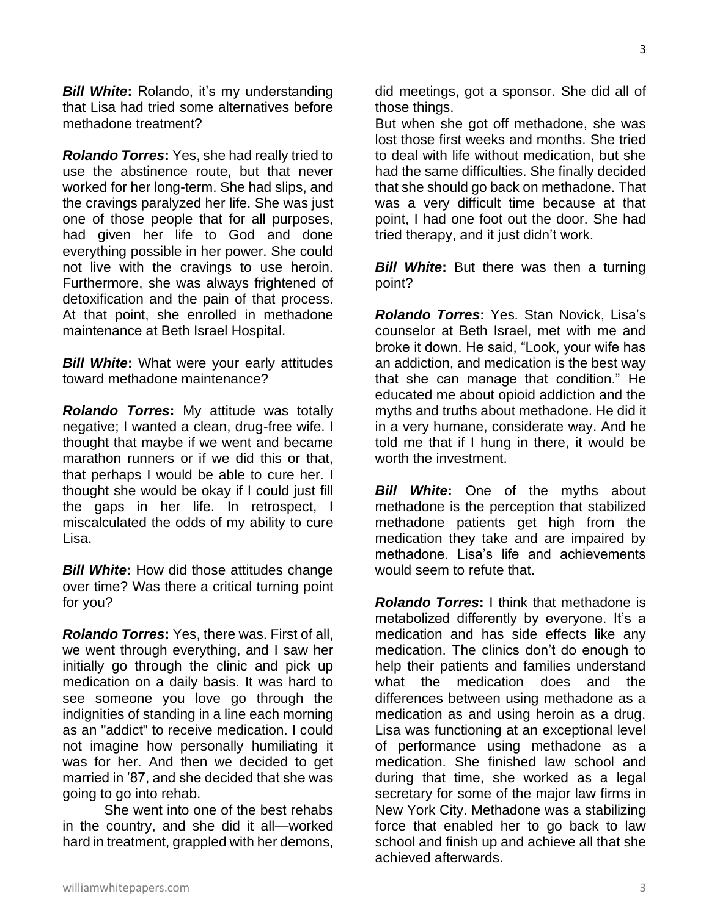*Bill White***:** Rolando, it's my understanding that Lisa had tried some alternatives before methadone treatment?

*Rolando Torres***:** Yes, she had really tried to use the abstinence route, but that never worked for her long-term. She had slips, and the cravings paralyzed her life. She was just one of those people that for all purposes, had given her life to God and done everything possible in her power. She could not live with the cravings to use heroin. Furthermore, she was always frightened of detoxification and the pain of that process. At that point, she enrolled in methadone maintenance at Beth Israel Hospital.

*Bill White***:** What were your early attitudes toward methadone maintenance?

*Rolando Torres***:** My attitude was totally negative; I wanted a clean, drug-free wife. I thought that maybe if we went and became marathon runners or if we did this or that, that perhaps I would be able to cure her. I thought she would be okay if I could just fill the gaps in her life. In retrospect, I miscalculated the odds of my ability to cure Lisa.

*Bill White***:** How did those attitudes change over time? Was there a critical turning point for you?

*Rolando Torres***:** Yes, there was. First of all, we went through everything, and I saw her initially go through the clinic and pick up medication on a daily basis. It was hard to see someone you love go through the indignities of standing in a line each morning as an "addict" to receive medication. I could not imagine how personally humiliating it was for her. And then we decided to get married in '87, and she decided that she was going to go into rehab.

She went into one of the best rehabs in the country, and she did it all—worked hard in treatment, grappled with her demons,

did meetings, got a sponsor. She did all of those things.

But when she got off methadone, she was lost those first weeks and months. She tried to deal with life without medication, but she had the same difficulties. She finally decided that she should go back on methadone. That was a very difficult time because at that point, I had one foot out the door. She had tried therapy, and it just didn't work.

*Bill White*: But there was then a turning point?

*Rolando Torres***:** Yes. Stan Novick, Lisa's counselor at Beth Israel, met with me and broke it down. He said, "Look, your wife has an addiction, and medication is the best way that she can manage that condition." He educated me about opioid addiction and the myths and truths about methadone. He did it in a very humane, considerate way. And he told me that if I hung in there, it would be worth the investment.

*Bill White***:** One of the myths about methadone is the perception that stabilized methadone patients get high from the medication they take and are impaired by methadone. Lisa's life and achievements would seem to refute that.

*Rolando Torres***:** I think that methadone is metabolized differently by everyone. It's a medication and has side effects like any medication. The clinics don't do enough to help their patients and families understand what the medication does and the differences between using methadone as a medication as and using heroin as a drug. Lisa was functioning at an exceptional level of performance using methadone as a medication. She finished law school and during that time, she worked as a legal secretary for some of the major law firms in New York City. Methadone was a stabilizing force that enabled her to go back to law school and finish up and achieve all that she achieved afterwards.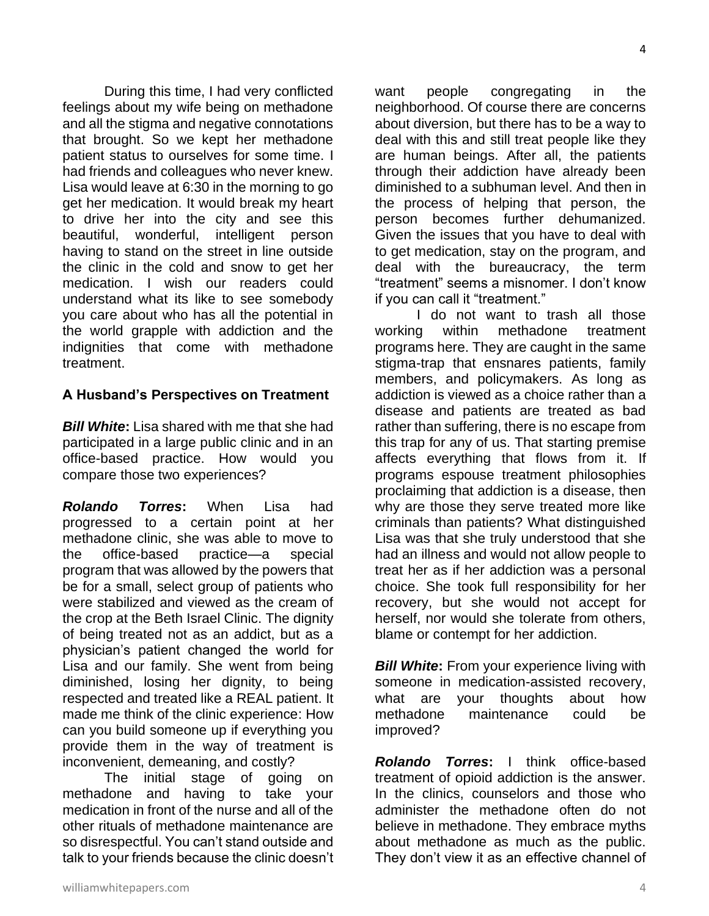During this time, I had very conflicted feelings about my wife being on methadone and all the stigma and negative connotations that brought. So we kept her methadone patient status to ourselves for some time. I had friends and colleagues who never knew. Lisa would leave at 6:30 in the morning to go get her medication. It would break my heart to drive her into the city and see this beautiful, wonderful, intelligent person having to stand on the street in line outside the clinic in the cold and snow to get her medication. I wish our readers could understand what its like to see somebody you care about who has all the potential in the world grapple with addiction and the indignities that come with methadone treatment.

### **A Husband's Perspectives on Treatment**

*Bill White***:** Lisa shared with me that she had participated in a large public clinic and in an office-based practice. How would you compare those two experiences?

*Rolando Torres***:** When Lisa had progressed to a certain point at her methadone clinic, she was able to move to the office-based practice—a special program that was allowed by the powers that be for a small, select group of patients who were stabilized and viewed as the cream of the crop at the Beth Israel Clinic. The dignity of being treated not as an addict, but as a physician's patient changed the world for Lisa and our family. She went from being diminished, losing her dignity, to being respected and treated like a REAL patient. It made me think of the clinic experience: How can you build someone up if everything you provide them in the way of treatment is inconvenient, demeaning, and costly?

The initial stage of going on methadone and having to take your medication in front of the nurse and all of the other rituals of methadone maintenance are so disrespectful. You can't stand outside and talk to your friends because the clinic doesn't want people congregating in the neighborhood. Of course there are concerns about diversion, but there has to be a way to deal with this and still treat people like they are human beings. After all, the patients through their addiction have already been diminished to a subhuman level. And then in the process of helping that person, the person becomes further dehumanized. Given the issues that you have to deal with to get medication, stay on the program, and deal with the bureaucracy, the term "treatment" seems a misnomer. I don't know if you can call it "treatment."

I do not want to trash all those working within methadone treatment programs here. They are caught in the same stigma-trap that ensnares patients, family members, and policymakers. As long as addiction is viewed as a choice rather than a disease and patients are treated as bad rather than suffering, there is no escape from this trap for any of us. That starting premise affects everything that flows from it. If programs espouse treatment philosophies proclaiming that addiction is a disease, then why are those they serve treated more like criminals than patients? What distinguished Lisa was that she truly understood that she had an illness and would not allow people to treat her as if her addiction was a personal choice. She took full responsibility for her recovery, but she would not accept for herself, nor would she tolerate from others, blame or contempt for her addiction.

**Bill White:** From your experience living with someone in medication-assisted recovery, what are your thoughts about how methadone maintenance could be improved?

*Rolando Torres***:** I think office-based treatment of opioid addiction is the answer. In the clinics, counselors and those who administer the methadone often do not believe in methadone. They embrace myths about methadone as much as the public. They don't view it as an effective channel of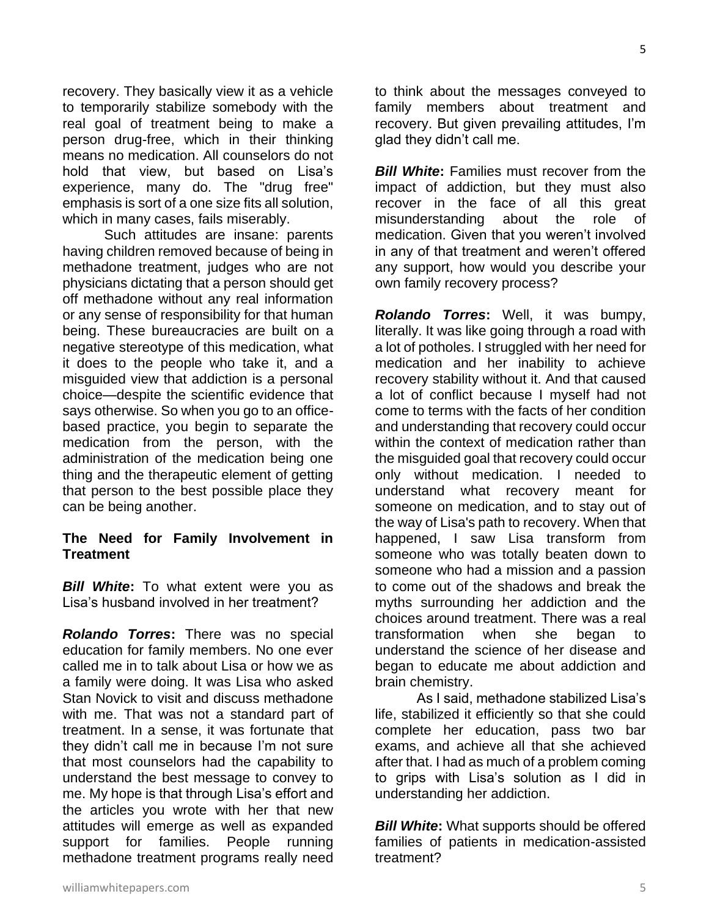recovery. They basically view it as a vehicle to temporarily stabilize somebody with the real goal of treatment being to make a person drug-free, which in their thinking means no medication. All counselors do not hold that view, but based on Lisa's experience, many do. The "drug free" emphasis is sort of a one size fits all solution, which in many cases, fails miserably.

Such attitudes are insane: parents having children removed because of being in methadone treatment, judges who are not physicians dictating that a person should get off methadone without any real information or any sense of responsibility for that human being. These bureaucracies are built on a negative stereotype of this medication, what it does to the people who take it, and a misguided view that addiction is a personal choice—despite the scientific evidence that says otherwise. So when you go to an officebased practice, you begin to separate the medication from the person, with the administration of the medication being one thing and the therapeutic element of getting that person to the best possible place they can be being another.

#### **The Need for Family Involvement in Treatment**

*Bill White***:** To what extent were you as Lisa's husband involved in her treatment?

*Rolando Torres***:** There was no special education for family members. No one ever called me in to talk about Lisa or how we as a family were doing. It was Lisa who asked Stan Novick to visit and discuss methadone with me. That was not a standard part of treatment. In a sense, it was fortunate that they didn't call me in because I'm not sure that most counselors had the capability to understand the best message to convey to me. My hope is that through Lisa's effort and the articles you wrote with her that new attitudes will emerge as well as expanded support for families. People running methadone treatment programs really need

to think about the messages conveyed to family members about treatment and recovery. But given prevailing attitudes, I'm glad they didn't call me.

*Bill White***:** Families must recover from the impact of addiction, but they must also recover in the face of all this great misunderstanding about the role of medication. Given that you weren't involved in any of that treatment and weren't offered any support, how would you describe your own family recovery process?

*Rolando Torres***:** Well, it was bumpy, literally. It was like going through a road with a lot of potholes. I struggled with her need for medication and her inability to achieve recovery stability without it. And that caused a lot of conflict because I myself had not come to terms with the facts of her condition and understanding that recovery could occur within the context of medication rather than the misguided goal that recovery could occur only without medication. I needed to understand what recovery meant for someone on medication, and to stay out of the way of Lisa's path to recovery. When that happened, I saw Lisa transform from someone who was totally beaten down to someone who had a mission and a passion to come out of the shadows and break the myths surrounding her addiction and the choices around treatment. There was a real transformation when she began to understand the science of her disease and began to educate me about addiction and brain chemistry.

As I said, methadone stabilized Lisa's life, stabilized it efficiently so that she could complete her education, pass two bar exams, and achieve all that she achieved after that. I had as much of a problem coming to grips with Lisa's solution as I did in understanding her addiction.

*Bill White***:** What supports should be offered families of patients in medication-assisted treatment?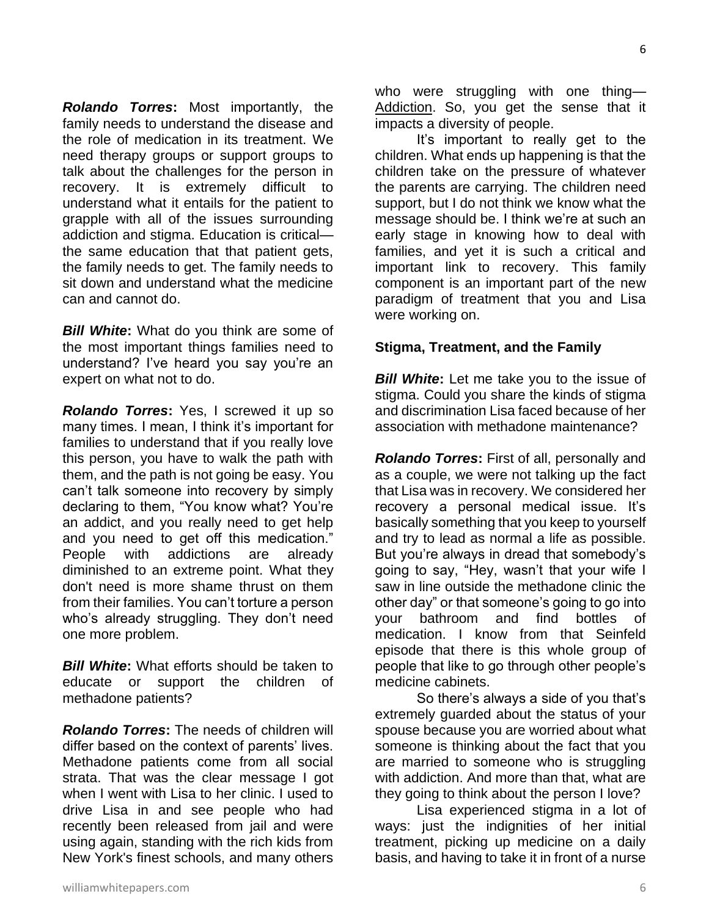*Rolando Torres***:** Most importantly, the family needs to understand the disease and the role of medication in its treatment. We need therapy groups or support groups to talk about the challenges for the person in recovery. It is extremely difficult to understand what it entails for the patient to grapple with all of the issues surrounding addiction and stigma. Education is critical the same education that that patient gets, the family needs to get. The family needs to sit down and understand what the medicine can and cannot do.

*Bill White***:** What do you think are some of the most important things families need to understand? I've heard you say you're an expert on what not to do.

*Rolando Torres***:** Yes, I screwed it up so many times. I mean, I think it's important for families to understand that if you really love this person, you have to walk the path with them, and the path is not going be easy. You can't talk someone into recovery by simply declaring to them, "You know what? You're an addict, and you really need to get help and you need to get off this medication." People with addictions are already diminished to an extreme point. What they don't need is more shame thrust on them from their families. You can't torture a person who's already struggling. They don't need one more problem.

*Bill White***:** What efforts should be taken to educate or support the children of methadone patients?

*Rolando Torres***:** The needs of children will differ based on the context of parents' lives. Methadone patients come from all social strata. That was the clear message I got when I went with Lisa to her clinic. I used to drive Lisa in and see people who had recently been released from jail and were using again, standing with the rich kids from New York's finest schools, and many others

who were struggling with one thing— Addiction. So, you get the sense that it impacts a diversity of people.

It's important to really get to the children. What ends up happening is that the children take on the pressure of whatever the parents are carrying. The children need support, but I do not think we know what the message should be. I think we're at such an early stage in knowing how to deal with families, and yet it is such a critical and important link to recovery. This family component is an important part of the new paradigm of treatment that you and Lisa were working on.

#### **Stigma, Treatment, and the Family**

*Bill White***:** Let me take you to the issue of stigma. Could you share the kinds of stigma and discrimination Lisa faced because of her association with methadone maintenance?

*Rolando Torres***:** First of all, personally and as a couple, we were not talking up the fact that Lisa was in recovery. We considered her recovery a personal medical issue. It's basically something that you keep to yourself and try to lead as normal a life as possible. But you're always in dread that somebody's going to say, "Hey, wasn't that your wife I saw in line outside the methadone clinic the other day" or that someone's going to go into your bathroom and find bottles of medication. I know from that Seinfeld episode that there is this whole group of people that like to go through other people's medicine cabinets.

So there's always a side of you that's extremely guarded about the status of your spouse because you are worried about what someone is thinking about the fact that you are married to someone who is struggling with addiction. And more than that, what are they going to think about the person I love?

Lisa experienced stigma in a lot of ways: just the indignities of her initial treatment, picking up medicine on a daily basis, and having to take it in front of a nurse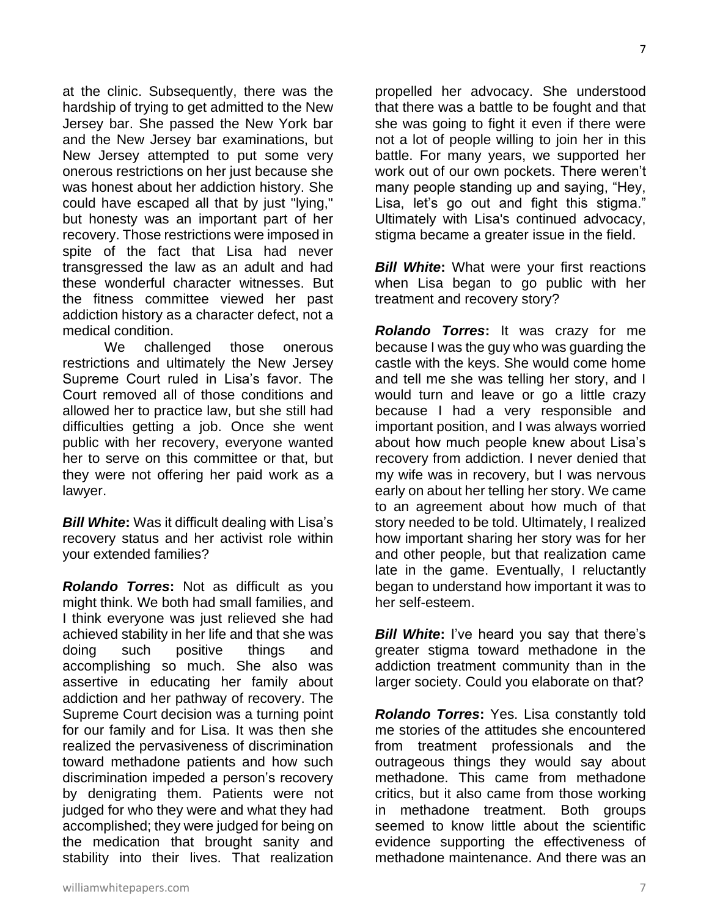at the clinic. Subsequently, there was the hardship of trying to get admitted to the New Jersey bar. She passed the New York bar and the New Jersey bar examinations, but New Jersey attempted to put some very onerous restrictions on her just because she was honest about her addiction history. She could have escaped all that by just "lying," but honesty was an important part of her recovery. Those restrictions were imposed in spite of the fact that Lisa had never transgressed the law as an adult and had these wonderful character witnesses. But the fitness committee viewed her past addiction history as a character defect, not a medical condition.

We challenged those onerous restrictions and ultimately the New Jersey Supreme Court ruled in Lisa's favor. The Court removed all of those conditions and allowed her to practice law, but she still had difficulties getting a job. Once she went public with her recovery, everyone wanted her to serve on this committee or that, but they were not offering her paid work as a lawyer.

*Bill White***:** Was it difficult dealing with Lisa's recovery status and her activist role within your extended families?

*Rolando Torres***:** Not as difficult as you might think. We both had small families, and I think everyone was just relieved she had achieved stability in her life and that she was doing such positive things and accomplishing so much. She also was assertive in educating her family about addiction and her pathway of recovery. The Supreme Court decision was a turning point for our family and for Lisa. It was then she realized the pervasiveness of discrimination toward methadone patients and how such discrimination impeded a person's recovery by denigrating them. Patients were not judged for who they were and what they had accomplished; they were judged for being on the medication that brought sanity and stability into their lives. That realization

propelled her advocacy. She understood that there was a battle to be fought and that she was going to fight it even if there were not a lot of people willing to join her in this battle. For many years, we supported her work out of our own pockets. There weren't many people standing up and saying, "Hey, Lisa, let's go out and fight this stigma." Ultimately with Lisa's continued advocacy, stigma became a greater issue in the field.

*Bill White***:** What were your first reactions when Lisa began to go public with her treatment and recovery story?

*Rolando Torres***:** It was crazy for me because I was the guy who was guarding the castle with the keys. She would come home and tell me she was telling her story, and I would turn and leave or go a little crazy because I had a very responsible and important position, and I was always worried about how much people knew about Lisa's recovery from addiction. I never denied that my wife was in recovery, but I was nervous early on about her telling her story. We came to an agreement about how much of that story needed to be told. Ultimately, I realized how important sharing her story was for her and other people, but that realization came late in the game. Eventually, I reluctantly began to understand how important it was to her self-esteem.

*Bill White***:** I've heard you say that there's greater stigma toward methadone in the addiction treatment community than in the larger society. Could you elaborate on that?

*Rolando Torres***:** Yes. Lisa constantly told me stories of the attitudes she encountered from treatment professionals and the outrageous things they would say about methadone. This came from methadone critics, but it also came from those working in methadone treatment. Both groups seemed to know little about the scientific evidence supporting the effectiveness of methadone maintenance. And there was an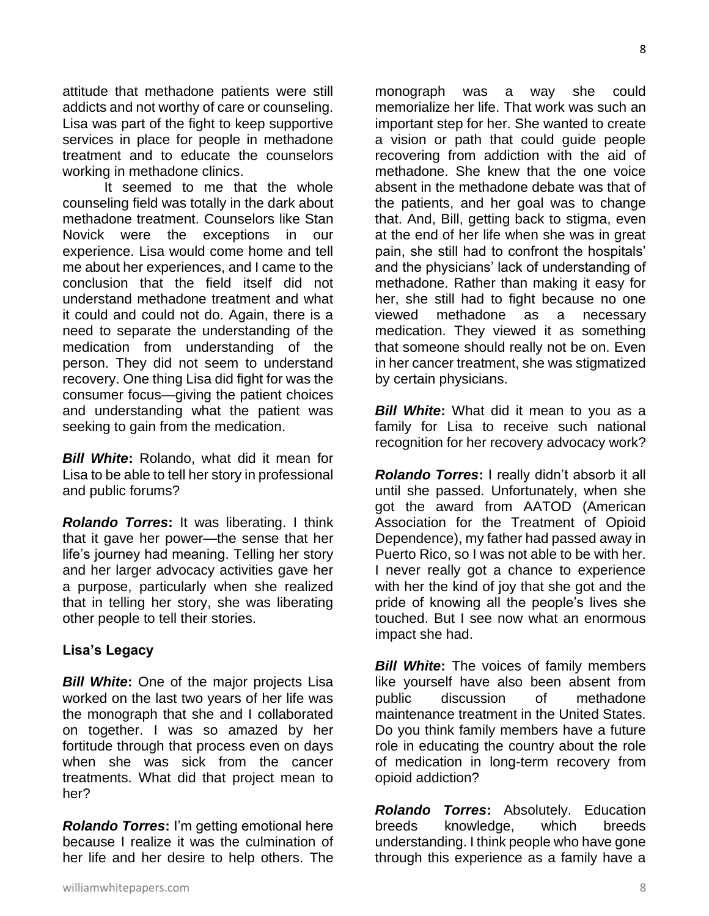attitude that methadone patients were still addicts and not worthy of care or counseling. Lisa was part of the fight to keep supportive services in place for people in methadone treatment and to educate the counselors working in methadone clinics.

It seemed to me that the whole counseling field was totally in the dark about methadone treatment. Counselors like Stan Novick were the exceptions in our experience. Lisa would come home and tell me about her experiences, and I came to the conclusion that the field itself did not understand methadone treatment and what it could and could not do. Again, there is a need to separate the understanding of the medication from understanding of the person. They did not seem to understand recovery. One thing Lisa did fight for was the consumer focus—giving the patient choices and understanding what the patient was seeking to gain from the medication.

*Bill White***:** Rolando, what did it mean for Lisa to be able to tell her story in professional and public forums?

*Rolando Torres***:** It was liberating. I think that it gave her power—the sense that her life's journey had meaning. Telling her story and her larger advocacy activities gave her a purpose, particularly when she realized that in telling her story, she was liberating other people to tell their stories.

#### **Lisa's Legacy**

*Bill White***:** One of the major projects Lisa worked on the last two years of her life was the monograph that she and I collaborated on together. I was so amazed by her fortitude through that process even on days when she was sick from the cancer treatments. What did that project mean to her?

*Rolando Torres***:** I'm getting emotional here because I realize it was the culmination of her life and her desire to help others. The

monograph was a way she could memorialize her life. That work was such an important step for her. She wanted to create a vision or path that could guide people recovering from addiction with the aid of methadone. She knew that the one voice absent in the methadone debate was that of the patients, and her goal was to change that. And, Bill, getting back to stigma, even at the end of her life when she was in great pain, she still had to confront the hospitals' and the physicians' lack of understanding of methadone. Rather than making it easy for her, she still had to fight because no one viewed methadone as a necessary medication. They viewed it as something that someone should really not be on. Even in her cancer treatment, she was stigmatized by certain physicians.

*Bill White:* What did it mean to you as a family for Lisa to receive such national recognition for her recovery advocacy work?

*Rolando Torres***:** I really didn't absorb it all until she passed. Unfortunately, when she got the award from AATOD (American Association for the Treatment of Opioid Dependence), my father had passed away in Puerto Rico, so I was not able to be with her. I never really got a chance to experience with her the kind of joy that she got and the pride of knowing all the people's lives she touched. But I see now what an enormous impact she had.

*Bill White:* The voices of family members like yourself have also been absent from public discussion of methadone maintenance treatment in the United States. Do you think family members have a future role in educating the country about the role of medication in long-term recovery from opioid addiction?

*Rolando Torres***:** Absolutely. Education breeds knowledge, which breeds understanding. I think people who have gone through this experience as a family have a